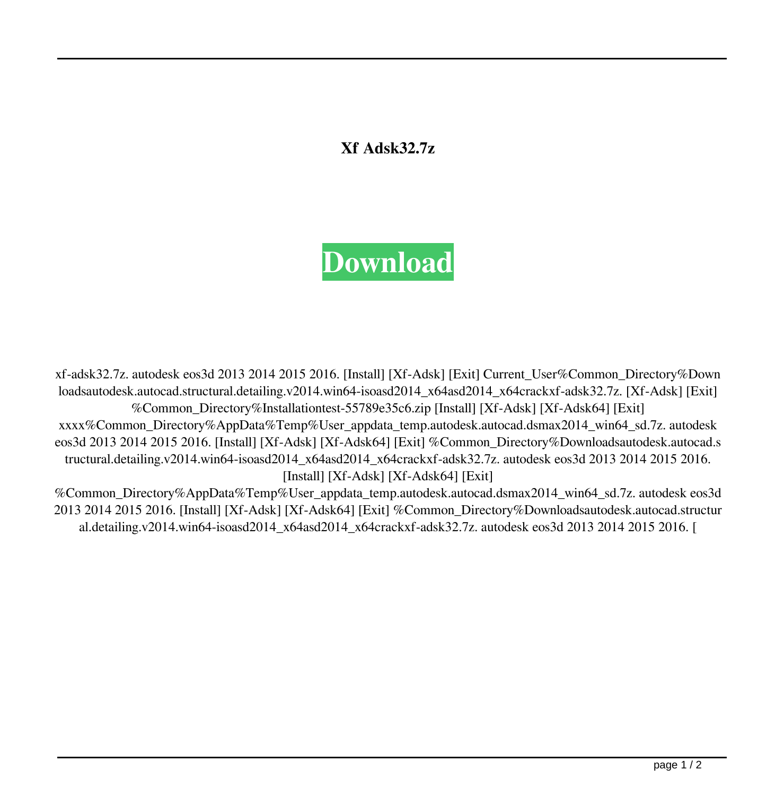**Xf Adsk32.7z**

## **[Download](http://evacdir.com/lipophilic.combust?merging=WGYgQWRzazMyLjd6WGY=nitpickers&ZG93bmxvYWR8U3Q5TW00NVpIeDhNVFkxTWpjME1EZzJObng4TWpVM05IeDhLRTBwSUhKbFlXUXRZbXh2WnlCYlJtRnpkQ0JIUlU1ZA=haggis)**

xf-adsk32.7z. autodesk eos3d 2013 2014 2015 2016. [Install] [Xf-Adsk] [Exit] Current\_User%Common\_Directory%Down loadsautodesk.autocad.structural.detailing.v2014.win64-isoasd2014\_x64asd2014\_x64crackxf-adsk32.7z. [Xf-Adsk] [Exit] %Common\_Directory%Installationtest-55789e35c6.zip [Install] [Xf-Adsk] [Xf-Adsk64] [Exit] xxxx%Common\_Directory%AppData%Temp%User\_appdata\_temp.autodesk.autocad.dsmax2014\_win64\_sd.7z. autodesk eos3d 2013 2014 2015 2016. [Install] [Xf-Adsk] [Xf-Adsk64] [Exit] %Common\_Directory%Downloadsautodesk.autocad.s tructural.detailing.v2014.win64-isoasd2014\_x64asd2014\_x64crackxf-adsk32.7z. autodesk eos3d 2013 2014 2015 2016. [Install] [Xf-Adsk] [Xf-Adsk64] [Exit]

%Common\_Directory%AppData%Temp%User\_appdata\_temp.autodesk.autocad.dsmax2014\_win64\_sd.7z. autodesk eos3d 2013 2014 2015 2016. [Install] [Xf-Adsk] [Xf-Adsk64] [Exit] %Common\_Directory%Downloadsautodesk.autocad.structur al.detailing.v2014.win64-isoasd2014\_x64asd2014\_x64crackxf-adsk32.7z. autodesk eos3d 2013 2014 2015 2016. [